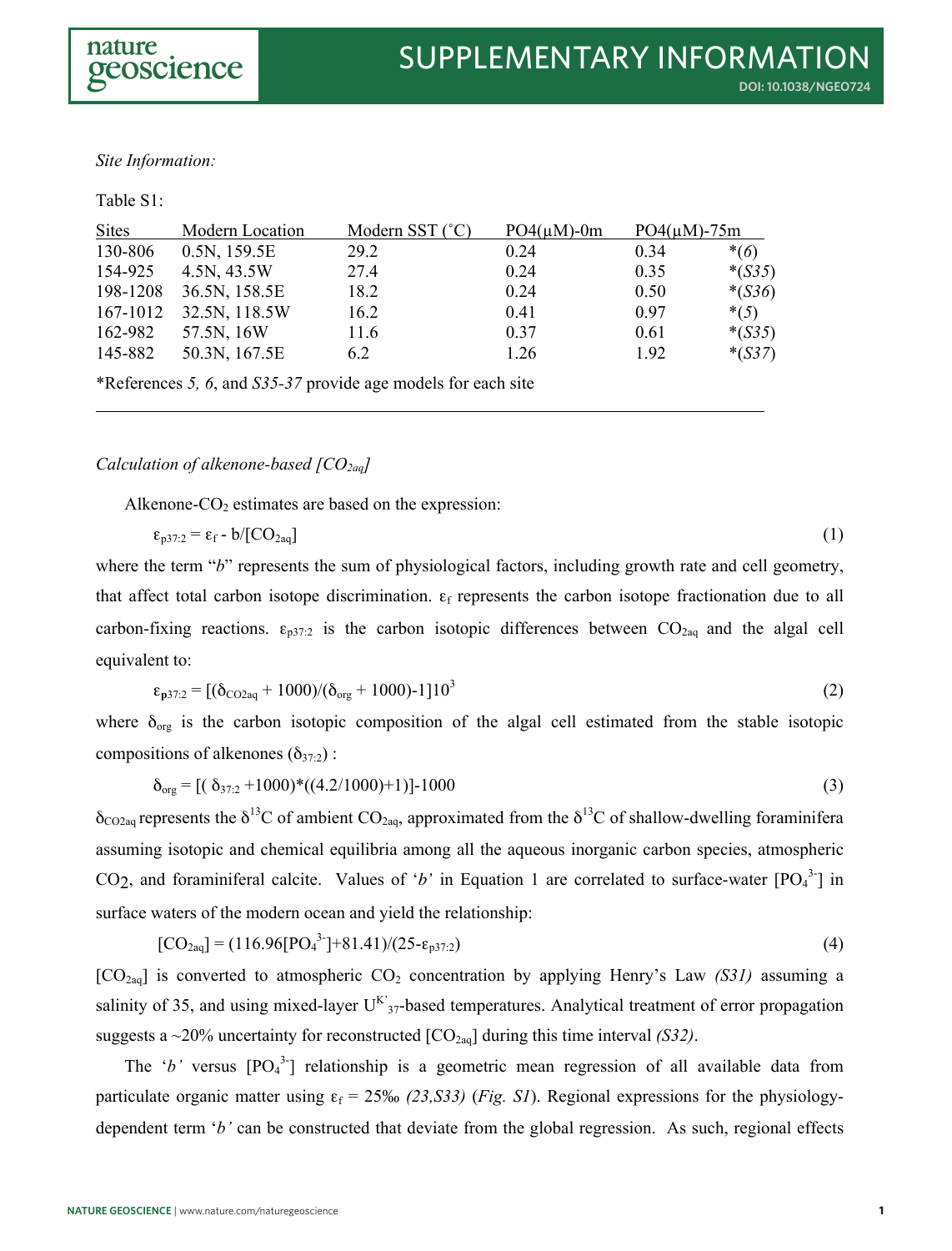### *Site Information:*

#### Table S1:

| <b>Sites</b> | Modern Location | Modern SST $(^{\circ}C)$ | $PO4(\mu M)$ -0m | $PO4(\mu M) - 75m$ |          |
|--------------|-----------------|--------------------------|------------------|--------------------|----------|
| 130-806      | 0.5N, 159.5E    | 29.2                     | 0.24             | 0.34               | $*(6)$   |
| 154-925      | 4.5N, 43.5W     | 27.4                     | 0.24             | 0.35               | $*(S35)$ |
| 198-1208     | 36.5N, 158.5E   | 18.2                     | 0.24             | 0.50               | $*(S36)$ |
| 167-1012     | 32.5N, 118.5W   | 16.2                     | 0.41             | 0.97               | $*(5)$   |
| 162-982      | 57.5N, 16W      | 11.6                     | 0.37             | 0.61               | $*(S35)$ |
| 145-882      | 50.3N, 167.5E   | 6.2                      | 1.26             | 1.92               | $*(S37)$ |

\*References *5, 6*, and *S35-37* provide age models for each site

### *Calculation of alkenone-based [CO2aq]*

Alkenone- $CO<sub>2</sub>$  estimates are based on the expression:

$$
\varepsilon_{p37:2} = \varepsilon_{\rm f} - b / [CO_{2aq}] \tag{1}
$$

where the term "*b*" represents the sum of physiological factors, including growth rate and cell geometry, that affect total carbon isotope discrimination.  $\varepsilon_f$  represents the carbon isotope fractionation due to all carbon-fixing reactions.  $\varepsilon_{p37:2}$  is the carbon isotopic differences between  $CO_{2aq}$  and the algal cell equivalent to:

$$
\varepsilon_{p37:2} = \left[ (\delta_{\text{CO2aq}} + 1000) / (\delta_{\text{org}} + 1000) - 1 \right] 10^3 \tag{2}
$$

where  $\delta_{org}$  is the carbon isotopic composition of the algal cell estimated from the stable isotopic compositions of alkenones  $(\delta_{37:2})$ :

$$
\delta_{\text{org}} = \left[ \left( \delta_{37.2} + 1000 \right) * \left( \left( 4.2 / 1000 \right) + 1 \right) \right] - 1000 \tag{3}
$$

 $\delta_{\text{CO2aa}}$  represents the  $\delta^{13}$ C of ambient CO<sub>2aq</sub>, approximated from the  $\delta^{13}$ C of shallow-dwelling foraminifera assuming isotopic and chemical equilibria among all the aqueous inorganic carbon species, atmospheric CO<sub>2</sub>, and foraminiferal calcite. Values of '*b*' in Equation 1 are correlated to surface-water  $[PO<sub>4</sub><sup>3</sup>$ <sup>-</sup>] in surface waters of the modern ocean and yield the relationship:

$$
[CO2aq] = (116.96[PO43]+81.41)/(25-\epsilonp37.2)
$$
\n(4)

[CO<sub>2aq</sub>] is converted to atmospheric CO<sub>2</sub> concentration by applying Henry's Law *(S31)* assuming a salinity of 35, and using mixed-layer  $U^{K}{}_{37}$ -based temperatures. Analytical treatment of error propagation suggests a  $\sim$ 20% uncertainty for reconstructed  $[CO_{2aq}]$  during this time interval *(S32)*.

The 'b' versus  $[PO_4^3]$  relationship is a geometric mean regression of all available data from particulate organic matter using  $\varepsilon_f = 25\%$  *(23,S33) (Fig. S1)*. Regional expressions for the physiologydependent term '*b'* can be constructed that deviate from the global regression. As such, regional effects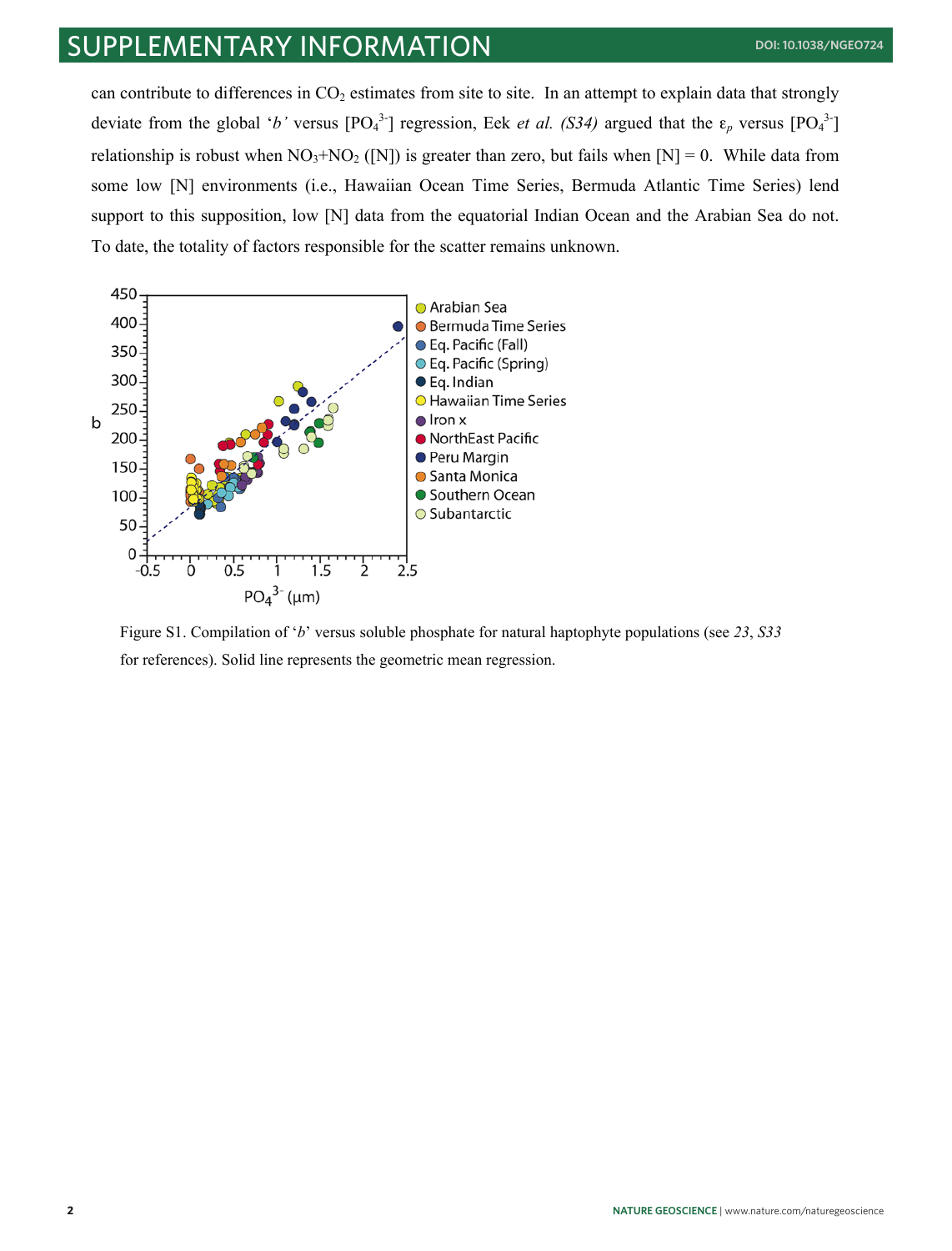# supplementary information **doi: 10.1038/ngeo724**

can contribute to differences in  $CO<sub>2</sub>$  estimates from site to site. In an attempt to explain data that strongly deviate from the global '*b*' versus  $[PO_4^3]$  regression, Eek *et al. (S34)* argued that the  $\varepsilon_p$  versus  $[PO_4^3]$ relationship is robust when  $NO_3+NO_2$  ([N]) is greater than zero, but fails when [N] = 0. While data from some low [N] environments (i.e., Hawaiian Ocean Time Series, Bermuda Atlantic Time Series) lend support to this supposition, low [N] data from the equatorial Indian Ocean and the Arabian Sea do not. To date, the totality of factors responsible for the scatter remains unknown.



Figure S1. Compilation of '*b*' versus soluble phosphate for natural haptophyte populations (see *23*, *S33* for references). Solid line represents the geometric mean regression.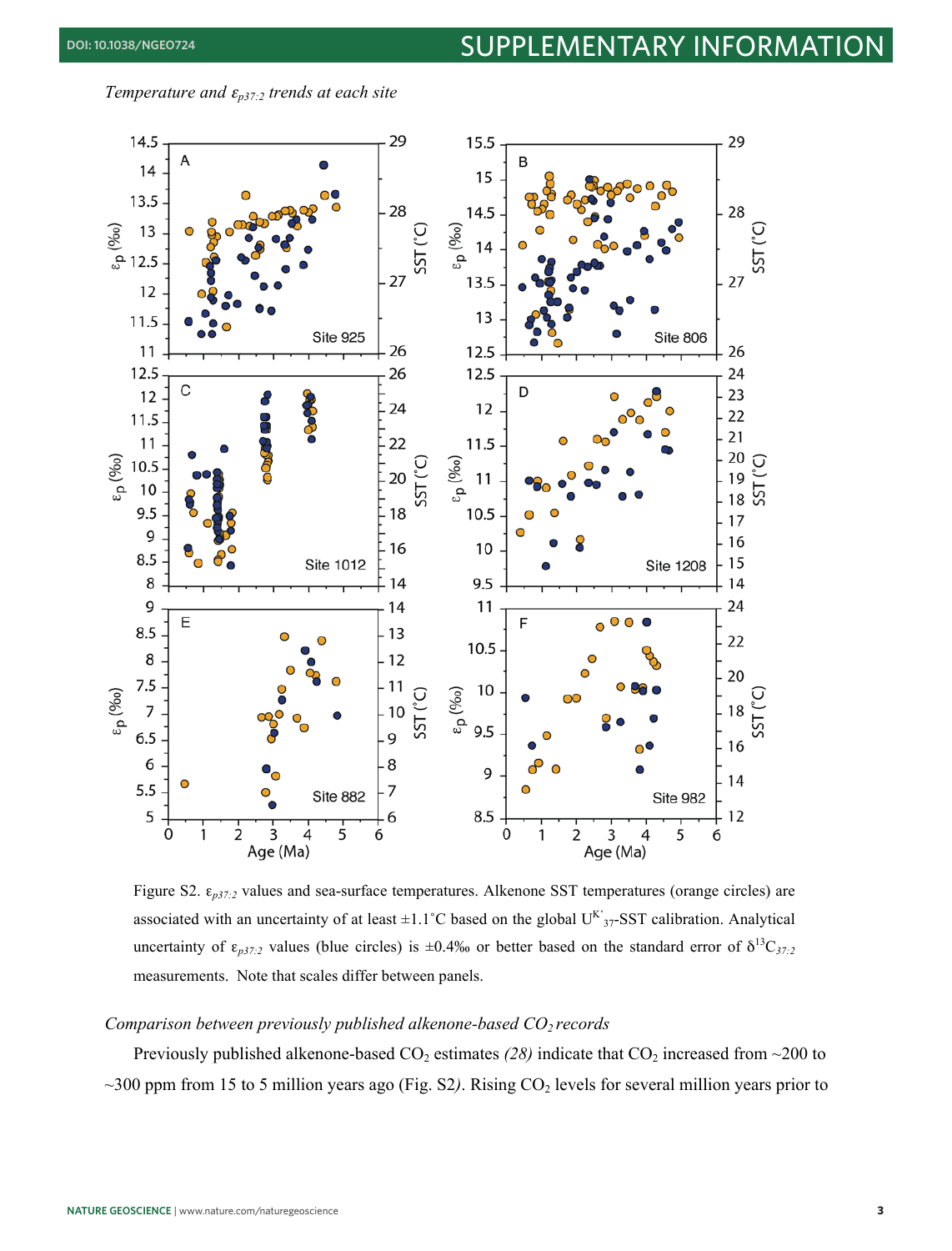*Temperature and* <sup>ε</sup>*p37:2 trends at each site*



Figure S2. ε*p37:2* values and sea-surface temperatures. Alkenone SST temperatures (orange circles) are associated with an uncertainty of at least  $\pm 1.1^{\circ}$ C based on the global U<sup>K</sup><sub>37</sub>-SST calibration. Analytical uncertainty of  $\varepsilon_{p37:2}$  values (blue circles) is  $\pm 0.4\%$  or better based on the standard error of  $\delta^{13}C_{37:2}$ measurements. Note that scales differ between panels.

#### *Comparison between previously published alkenone-based CO<sub>2</sub> records*

Previously published alkenone-based  $CO_2$  estimates (28) indicate that  $CO_2$  increased from  $\sim$ 200 to  $\sim$ 300 ppm from 15 to 5 million years ago (Fig. S2). Rising CO<sub>2</sub> levels for several million years prior to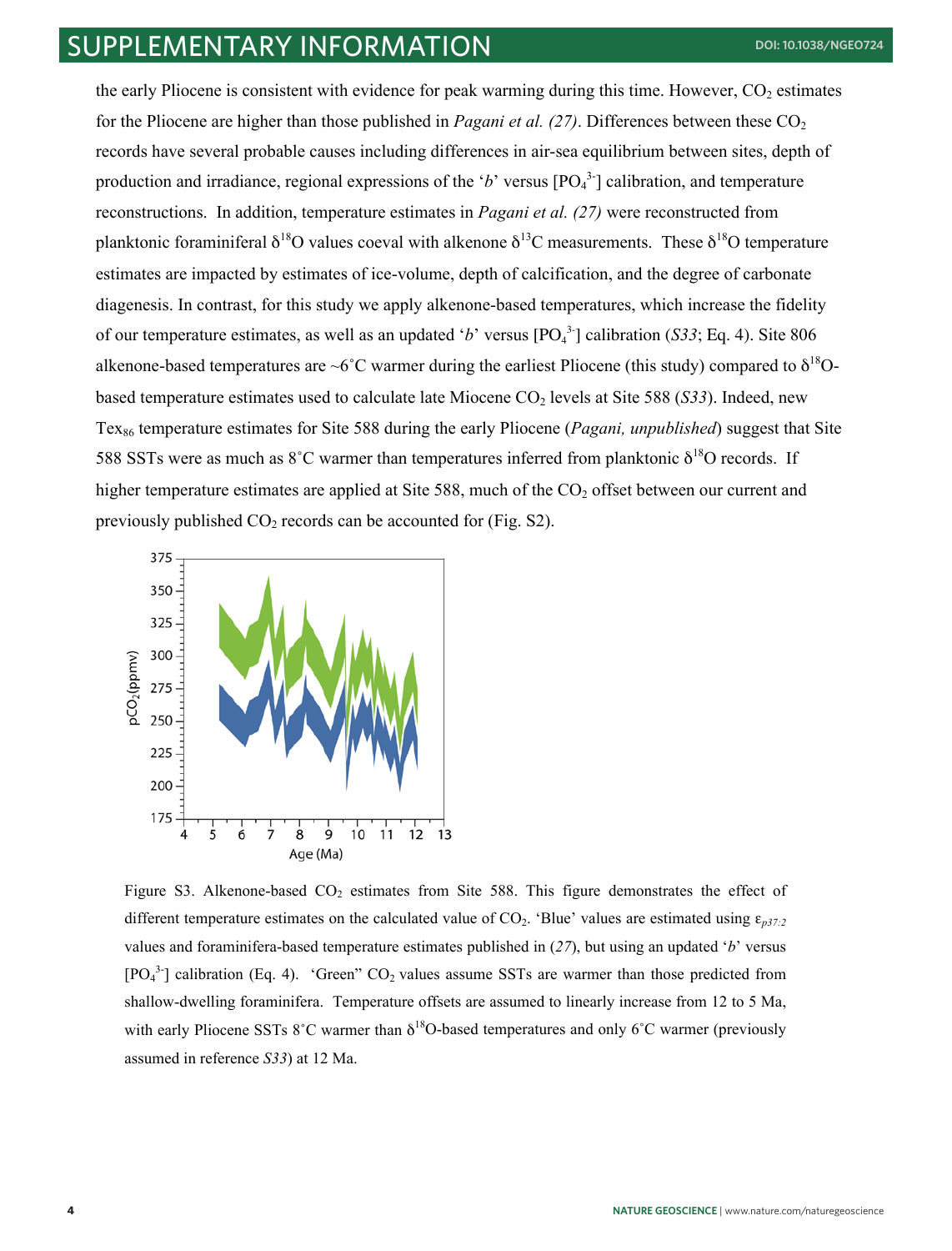the early Pliocene is consistent with evidence for peak warming during this time. However,  $CO<sub>2</sub>$  estimates for the Pliocene are higher than those published in *Pagani et al.*  $(27)$ . Differences between these  $CO<sub>2</sub>$ records have several probable causes including differences in air-sea equilibrium between sites, depth of production and irradiance, regional expressions of the 'b' versus  $[PO<sub>4</sub><sup>3</sup>$ ] calibration, and temperature reconstructions. In addition, temperature estimates in *Pagani et al. (27)* were reconstructed from planktonic foraminiferal  $\delta^{18}O$  values coeval with alkenone  $\delta^{13}C$  measurements. These  $\delta^{18}O$  temperature estimates are impacted by estimates of ice-volume, depth of calcification, and the degree of carbonate diagenesis. In contrast, for this study we apply alkenone-based temperatures, which increase the fidelity of our temperature estimates, as well as an updated 'b' versus  $[PO<sub>4</sub><sup>3</sup>]$  calibration (*S33*; Eq. 4). Site 806 alkenone-based temperatures are ~6°C warmer during the earliest Pliocene (this study) compared to  $\delta^{18}O$ based temperature estimates used to calculate late Miocene CO<sub>2</sub> levels at Site 588 (*S33*). Indeed, new Tex<sub>86</sub> temperature estimates for Site 588 during the early Pliocene (*Pagani, unpublished*) suggest that Site 588 SSTs were as much as  $8^{\circ}$ C warmer than temperatures inferred from planktonic  $\delta^{18}$ O records. If higher temperature estimates are applied at Site 588, much of the  $CO<sub>2</sub>$  offset between our current and previously published  $CO<sub>2</sub>$  records can be accounted for (Fig. S2).



Figure S3. Alkenone-based  $CO<sub>2</sub>$  estimates from Site 588. This figure demonstrates the effect of different temperature estimates on the calculated value of  $CO_2$ . 'Blue' values are estimated using  $\varepsilon_{p37:2}$ values and foraminifera-based temperature estimates published in (*27*), but using an updated '*b*' versus  $[PO<sub>4</sub><sup>3</sup>$ ] calibration (Eq. 4). 'Green" CO<sub>2</sub> values assume SSTs are warmer than those predicted from shallow-dwelling foraminifera. Temperature offsets are assumed to linearly increase from 12 to 5 Ma, with early Pliocene SSTs  $8^{\circ}$ C warmer than  $\delta^{18}$ O-based temperatures and only  $6^{\circ}$ C warmer (previously assumed in reference *S33*) at 12 Ma.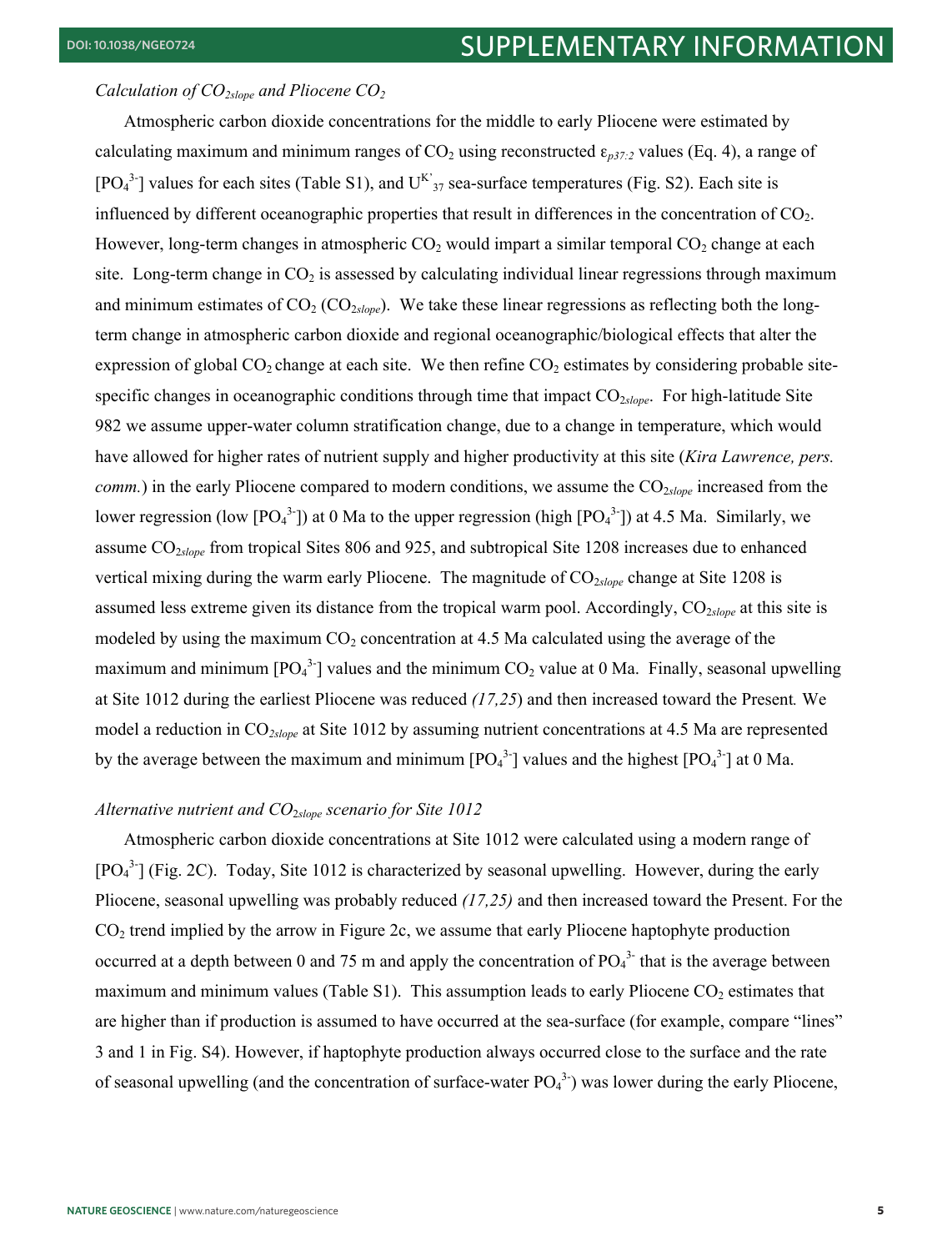#### *Calculation of CO*<sub>2slope</sub> and Pliocene CO<sub>2</sub>

Atmospheric carbon dioxide concentrations for the middle to early Pliocene were estimated by calculating maximum and minimum ranges of  $CO<sub>2</sub>$  using reconstructed  $\epsilon_{p37:2}$  values (Eq. 4), a range of  $[PO<sub>4</sub><sup>3</sup>]$  values for each sites (Table S1), and  $U<sup>K</sup>$ <sub>37</sub> sea-surface temperatures (Fig. S2). Each site is influenced by different oceanographic properties that result in differences in the concentration of  $CO<sub>2</sub>$ . However, long-term changes in atmospheric  $CO<sub>2</sub>$  would impart a similar temporal  $CO<sub>2</sub>$  change at each site. Long-term change in  $CO<sub>2</sub>$  is assessed by calculating individual linear regressions through maximum and minimum estimates of  $CO_2$  ( $CO_{2slope}$ ). We take these linear regressions as reflecting both the longterm change in atmospheric carbon dioxide and regional oceanographic/biological effects that alter the expression of global  $CO_2$  change at each site. We then refine  $CO_2$  estimates by considering probable sitespecific changes in oceanographic conditions through time that impact CO<sub>2slope</sub>. For high-latitude Site 982 we assume upper-water column stratification change, due to a change in temperature, which would have allowed for higher rates of nutrient supply and higher productivity at this site (*Kira Lawrence, pers. comm.*) in the early Pliocene compared to modern conditions, we assume the CO<sub>2*slope*</sub> increased from the lower regression (low  $[PO_4^{3}]$ ) at 0 Ma to the upper regression (high  $[PO_4^{3}]$ ) at 4.5 Ma. Similarly, we assume CO2*slope* from tropical Sites 806 and 925, and subtropical Site 1208 increases due to enhanced vertical mixing during the warm early Pliocene. The magnitude of CO<sub>2slope</sub> change at Site 1208 is assumed less extreme given its distance from the tropical warm pool. Accordingly, CO<sub>2*slope*</sub> at this site is modeled by using the maximum  $CO<sub>2</sub>$  concentration at 4.5 Ma calculated using the average of the maximum and minimum [PO<sub>4</sub><sup>3-</sup>] values and the minimum CO<sub>2</sub> value at 0 Ma. Finally, seasonal upwelling at Site 1012 during the earliest Pliocene was reduced *(17,25*) and then increased toward the Present*.* We model a reduction in CO*2slope* at Site 1012 by assuming nutrient concentrations at 4.5 Ma are represented by the average between the maximum and minimum  $[PO_4^{3}]$  values and the highest  $[PO_4^{3}]$  at 0 Ma.

#### *Alternative nutrient and CO*2*slope scenario for Site 1012*

Atmospheric carbon dioxide concentrations at Site 1012 were calculated using a modern range of [PO<sub>4</sub><sup>3-</sup>] (Fig. 2C). Today, Site 1012 is characterized by seasonal upwelling. However, during the early Pliocene, seasonal upwelling was probably reduced *(17,25)* and then increased toward the Present. For the  $CO<sub>2</sub>$  trend implied by the arrow in Figure 2c, we assume that early Pliocene haptophyte production occurred at a depth between 0 and 75 m and apply the concentration of  $PO_4^{3}$  that is the average between maximum and minimum values (Table S1). This assumption leads to early Pliocene  $CO<sub>2</sub>$  estimates that are higher than if production is assumed to have occurred at the sea-surface (for example, compare "lines" 3 and 1 in Fig. S4). However, if haptophyte production always occurred close to the surface and the rate of seasonal upwelling (and the concentration of surface-water  $PO<sub>4</sub><sup>3</sup>$ ) was lower during the early Pliocene,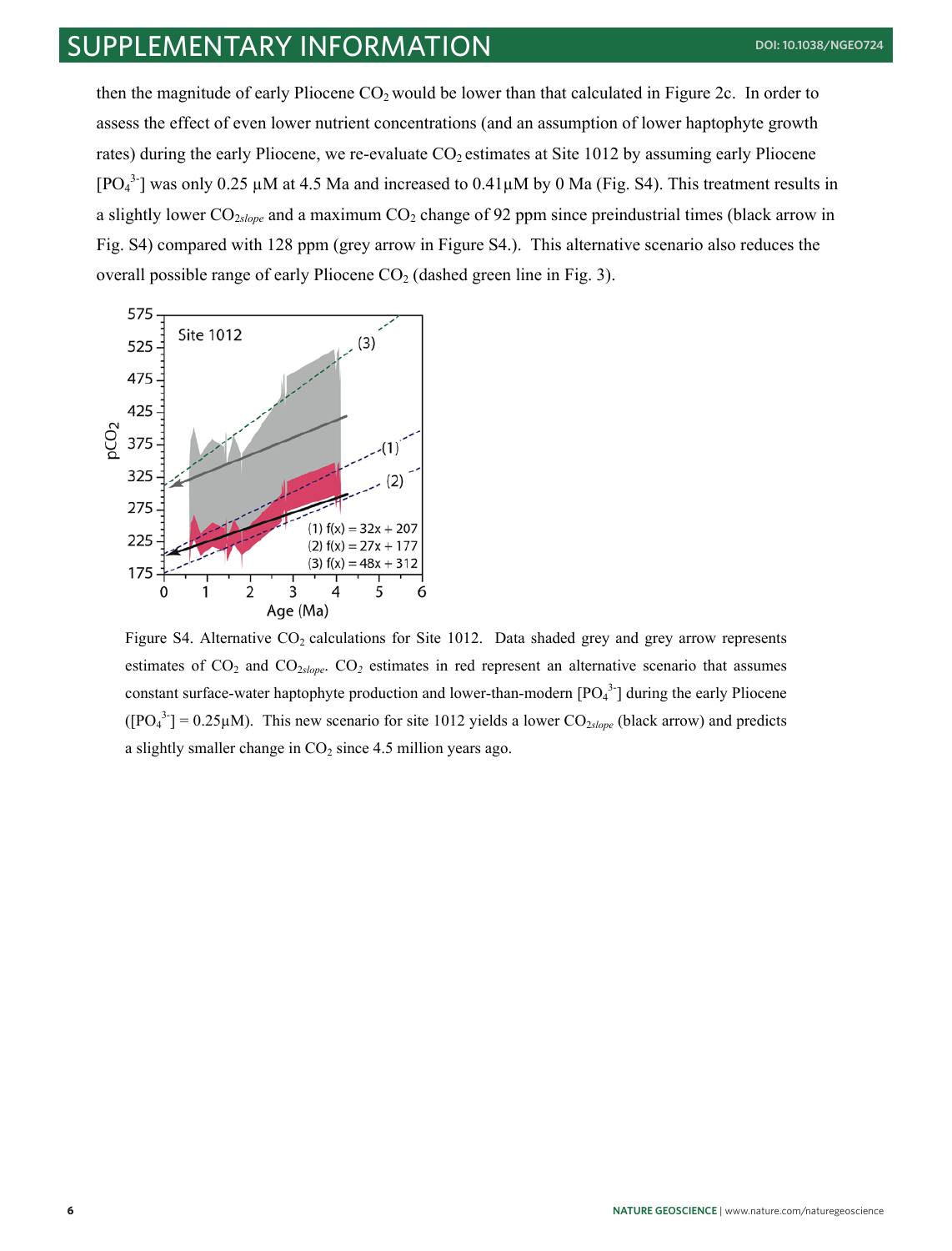# supplementary information **doi: 10.1038/ngeo724**

then the magnitude of early Pliocene  $CO<sub>2</sub>$  would be lower than that calculated in Figure 2c. In order to assess the effect of even lower nutrient concentrations (and an assumption of lower haptophyte growth rates) during the early Pliocene, we re-evaluate CO<sub>2</sub> estimates at Site 1012 by assuming early Pliocene [PO<sub>4</sub><sup>3-</sup>] was only 0.25  $\mu$ M at 4.5 Ma and increased to 0.41 $\mu$ M by 0 Ma (Fig. S4). This treatment results in a slightly lower CO<sub>2slope</sub> and a maximum CO<sub>2</sub> change of 92 ppm since preindustrial times (black arrow in Fig. S4) compared with 128 ppm (grey arrow in Figure S4.). This alternative scenario also reduces the overall possible range of early Pliocene  $CO<sub>2</sub>$  (dashed green line in Fig. 3).



Figure S4. Alternative  $CO<sub>2</sub>$  calculations for Site 1012. Data shaded grey and grey arrow represents estimates of CO<sub>2</sub> and CO<sub>2slope</sub>. CO<sub>2</sub> estimates in red represent an alternative scenario that assumes constant surface-water haptophyte production and lower-than-modern  $[PO<sub>4</sub><sup>3</sup>$ ] during the early Pliocene  $([PO<sub>4</sub><sup>3</sup> -] = 0.25 \mu M)$ . This new scenario for site 1012 yields a lower CO<sub>2*slope* (black arrow) and predicts</sub> a slightly smaller change in  $CO<sub>2</sub>$  since 4.5 million years ago.